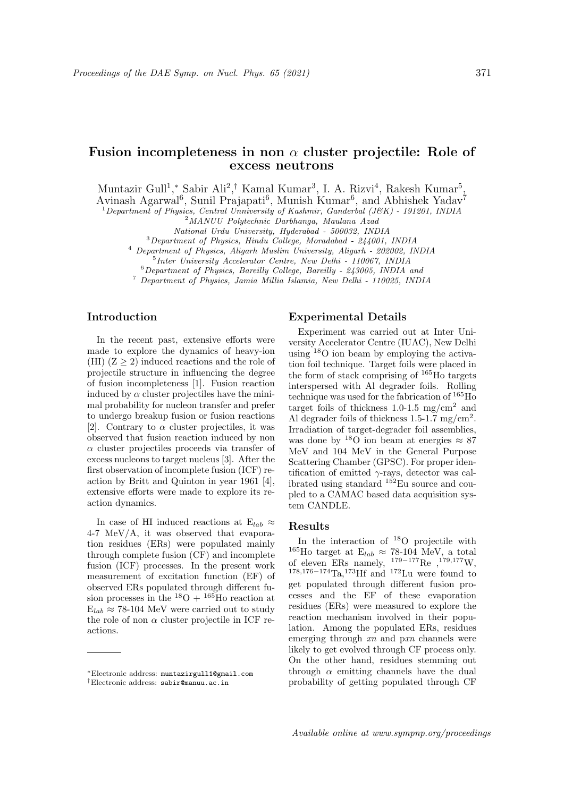# Fusion incompleteness in non  $\alpha$  cluster projectile: Role of excess neutrons

Muntazir Gull<sup>1</sup>,\* Sabir Ali<sup>2</sup>,<sup>†</sup> Kamal Kumar<sup>3</sup>, I. A. Rizvi<sup>4</sup>, Rakesh Kumar<sup>5</sup>,

Avinash Agarwal<sup>6</sup>, Sunil Prajapati<sup>6</sup>, Munish Kumar<sup>6</sup>, and Abhishek Yadav<sup>7</sup>

 $1$ Department of Physics, Central Unniversity of Kashmir, Ganderbal (J&K) - 191201, INDIA

<sup>2</sup>MANUU Polytechnic Darbhanga, Maulana Azad

 $3$ Department of Physics, Hindu College, Moradabad -  $244001$ , INDIA

<sup>4</sup> Department of Physics, Aligarh Muslim University, Aligarh - 202002, INDIA 5 Inter University Accelerator Centre, New Delhi - 110067, INDIA

 $6$ Department of Physics, Bareilly College, Bareilly - 243005, INDIA and

<sup>7</sup> Department of Physics, Jamia Millia Islamia, New Delhi - 110025, INDIA

## Introduction

In the recent past, extensive efforts were made to explore the dynamics of heavy-ion (HI)  $(Z \geq 2)$  induced reactions and the role of projectile structure in influencing the degree of fusion incompleteness [1]. Fusion reaction induced by  $\alpha$  cluster projectiles have the minimal probability for nucleon transfer and prefer to undergo breakup fusion or fusion reactions [2]. Contrary to  $\alpha$  cluster projectiles, it was observed that fusion reaction induced by non  $\alpha$  cluster projectiles proceeds via transfer of excess nucleons to target nucleus [3]. After the first observation of incomplete fusion (ICF) reaction by Britt and Quinton in year 1961 [4], extensive efforts were made to explore its reaction dynamics.

In case of HI induced reactions at  $E_{lab} \approx$ 4-7 MeV/A, it was observed that evaporation residues (ERs) were populated mainly through complete fusion (CF) and incomplete fusion (ICF) processes. In the present work measurement of excitation function (EF) of observed ERs populated through different fusion processes in the  $^{18}O + {^{165}H_0}$  reaction at  $E_{lab} \approx 78{\text -}104 \text{ MeV}$  were carried out to study the role of non  $\alpha$  cluster projectile in ICF reactions.

#### Experimental Details

Experiment was carried out at Inter University Accelerator Centre (IUAC), New Delhi using <sup>18</sup>O ion beam by employing the activation foil technique. Target foils were placed in the form of stack comprising of <sup>165</sup>Ho targets interspersed with Al degrader foils. Rolling technique was used for the fabrication of <sup>165</sup>Ho target foils of thickness 1.0-1.5 mg/cm<sup>2</sup> and Al degrader foils of thickness 1.5-1.7 mg/cm<sup>2</sup>. Irradiation of target-degrader foil assemblies, was done by  $180$  ion beam at energies  $\approx 87$ MeV and 104 MeV in the General Purpose Scattering Chamber (GPSC). For proper identification of emitted  $\gamma$ -rays, detector was calibrated using standard  $152E$ u source and coupled to a CAMAC based data acquisition system CANDLE.

## Results

In the interaction of  $18$ O projectile with <sup>165</sup>Ho target at  $E_{lab} \approx 78{\text -}104$  MeV, a total of eleven ERs namely,  $179-177$ Re , $179,177$ W, <sup>178</sup>,176−174Ta,173Hf and <sup>172</sup>Lu were found to get populated through different fusion processes and the EF of these evaporation residues (ERs) were measured to explore the reaction mechanism involved in their population. Among the populated ERs, residues emerging through  $xn$  and  $pxn$  channels were likely to get evolved through CF process only. On the other hand, residues stemming out through  $\alpha$  emitting channels have the dual probability of getting populated through CF

National Urdu University, Hyderabad - 500032, INDIA

<sup>∗</sup>Electronic address: muntazirgull1@gmail.com †Electronic address: sabir@manuu.ac.in